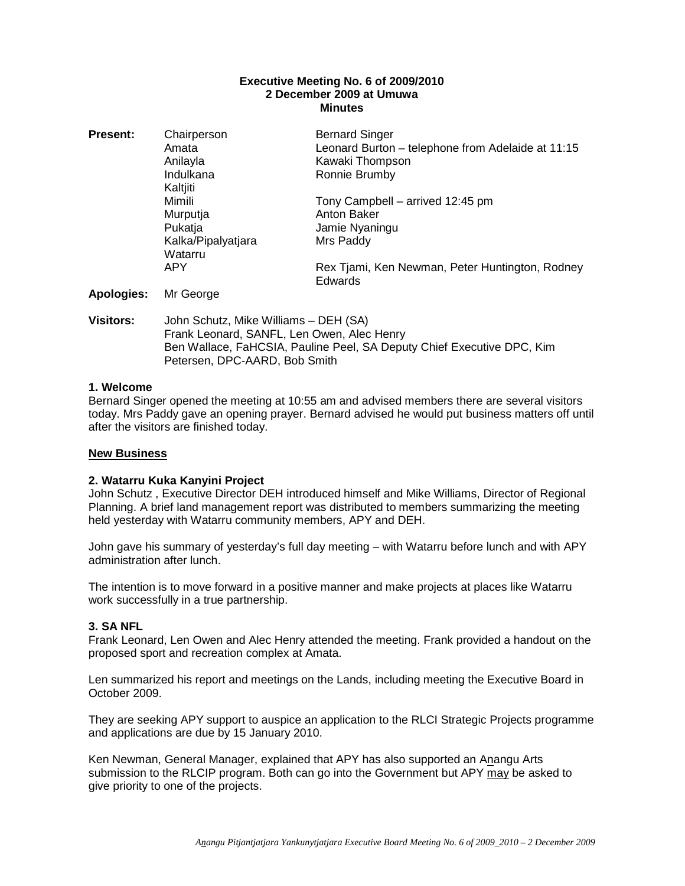### **Executive Meeting No. 6 of 2009/2010 2 December 2009 at Umuwa Minutes**

| <b>Present:</b> | Chairperson<br>Amata<br>Anilayla<br>Indulkana<br>Kaltjiti      | <b>Bernard Singer</b><br>Leonard Burton - telephone from Adelaide at 11:15<br>Kawaki Thompson<br>Ronnie Brumby |
|-----------------|----------------------------------------------------------------|----------------------------------------------------------------------------------------------------------------|
|                 | Mimili<br>Murputja<br>Pukatja<br>Kalka/Pipalyatjara<br>Watarru | Tony Campbell – arrived 12:45 pm<br>Anton Baker<br>Jamie Nyaningu<br>Mrs Paddy                                 |
|                 | <b>APY</b>                                                     | Rex Tjami, Ken Newman, Peter Huntington, Rodney<br>Edwards                                                     |
| Apologies:      | Mr George                                                      |                                                                                                                |

**Visitors:** John Schutz, Mike Williams – DEH (SA) Frank Leonard, SANFL, Len Owen, Alec Henry Ben Wallace, FaHCSIA, Pauline Peel, SA Deputy Chief Executive DPC, Kim Petersen, DPC-AARD, Bob Smith

## **1. Welcome**

Bernard Singer opened the meeting at 10:55 am and advised members there are several visitors today. Mrs Paddy gave an opening prayer. Bernard advised he would put business matters off until after the visitors are finished today.

### **New Business**

### **2. Watarru Kuka Kanyini Project**

John Schutz , Executive Director DEH introduced himself and Mike Williams, Director of Regional Planning. A brief land management report was distributed to members summarizing the meeting held yesterday with Watarru community members, APY and DEH.

John gave his summary of yesterday's full day meeting – with Watarru before lunch and with APY administration after lunch.

The intention is to move forward in a positive manner and make projects at places like Watarru work successfully in a true partnership.

## **3. SA NFL**

Frank Leonard, Len Owen and Alec Henry attended the meeting. Frank provided a handout on the proposed sport and recreation complex at Amata.

Len summarized his report and meetings on the Lands, including meeting the Executive Board in October 2009.

They are seeking APY support to auspice an application to the RLCI Strategic Projects programme and applications are due by 15 January 2010.

Ken Newman, General Manager, explained that APY has also supported an Anangu Arts submission to the RLCIP program. Both can go into the Government but APY may be asked to give priority to one of the projects.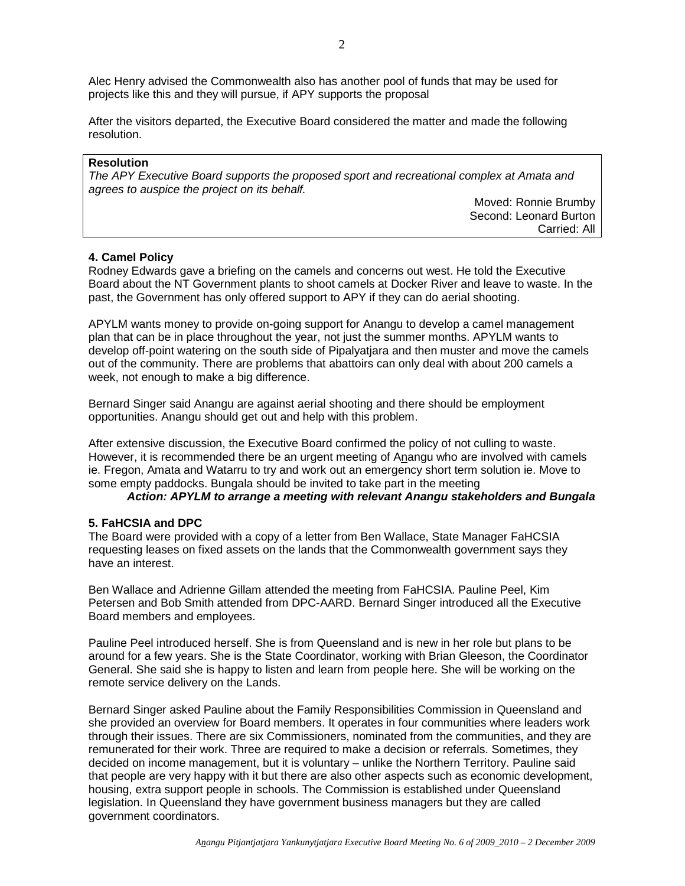Alec Henry advised the Commonwealth also has another pool of funds that may be used for projects like this and they will pursue, if APY supports the proposal

After the visitors departed, the Executive Board considered the matter and made the following resolution.

### **Resolution**

The APY Executive Board supports the proposed sport and recreational complex at Amata and agrees to auspice the project on its behalf.

> Moved: Ronnie Brumby Second: Leonard Burton Carried: All

### **4. Camel Policy**

Rodney Edwards gave a briefing on the camels and concerns out west. He told the Executive Board about the NT Government plants to shoot camels at Docker River and leave to waste. In the past, the Government has only offered support to APY if they can do aerial shooting.

APYLM wants money to provide on-going support for Anangu to develop a camel management plan that can be in place throughout the year, not just the summer months. APYLM wants to develop off-point watering on the south side of Pipalyatjara and then muster and move the camels out of the community. There are problems that abattoirs can only deal with about 200 camels a week, not enough to make a big difference.

Bernard Singer said Anangu are against aerial shooting and there should be employment opportunities. Anangu should get out and help with this problem.

After extensive discussion, the Executive Board confirmed the policy of not culling to waste. However, it is recommended there be an urgent meeting of Anangu who are involved with camels ie. Fregon, Amata and Watarru to try and work out an emergency short term solution ie. Move to some empty paddocks. Bungala should be invited to take part in the meeting

### **Action: APYLM to arrange a meeting with relevant Anangu stakeholders and Bungala**

### **5. FaHCSIA and DPC**

The Board were provided with a copy of a letter from Ben Wallace, State Manager FaHCSIA requesting leases on fixed assets on the lands that the Commonwealth government says they have an interest.

Ben Wallace and Adrienne Gillam attended the meeting from FaHCSIA. Pauline Peel, Kim Petersen and Bob Smith attended from DPC-AARD. Bernard Singer introduced all the Executive Board members and employees.

Pauline Peel introduced herself. She is from Queensland and is new in her role but plans to be around for a few years. She is the State Coordinator, working with Brian Gleeson, the Coordinator General. She said she is happy to listen and learn from people here. She will be working on the remote service delivery on the Lands.

Bernard Singer asked Pauline about the Family Responsibilities Commission in Queensland and she provided an overview for Board members. It operates in four communities where leaders work through their issues. There are six Commissioners, nominated from the communities, and they are remunerated for their work. Three are required to make a decision or referrals. Sometimes, they decided on income management, but it is voluntary – unlike the Northern Territory. Pauline said that people are very happy with it but there are also other aspects such as economic development, housing, extra support people in schools. The Commission is established under Queensland legislation. In Queensland they have government business managers but they are called government coordinators.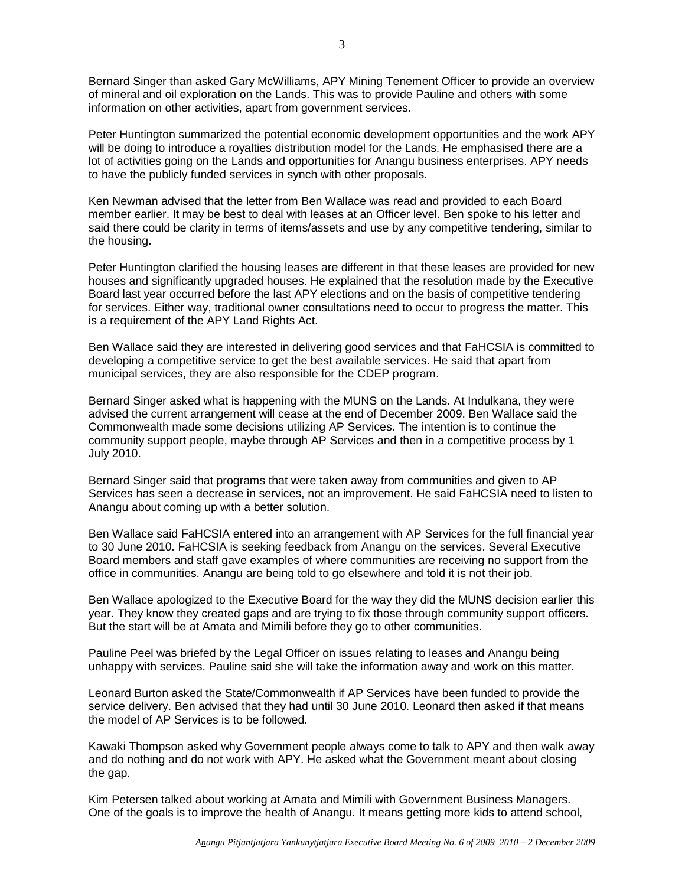Bernard Singer than asked Gary McWilliams, APY Mining Tenement Officer to provide an overview of mineral and oil exploration on the Lands. This was to provide Pauline and others with some information on other activities, apart from government services.

Peter Huntington summarized the potential economic development opportunities and the work APY will be doing to introduce a royalties distribution model for the Lands. He emphasised there are a lot of activities going on the Lands and opportunities for Anangu business enterprises. APY needs to have the publicly funded services in synch with other proposals.

Ken Newman advised that the letter from Ben Wallace was read and provided to each Board member earlier. It may be best to deal with leases at an Officer level. Ben spoke to his letter and said there could be clarity in terms of items/assets and use by any competitive tendering, similar to the housing.

Peter Huntington clarified the housing leases are different in that these leases are provided for new houses and significantly upgraded houses. He explained that the resolution made by the Executive Board last year occurred before the last APY elections and on the basis of competitive tendering for services. Either way, traditional owner consultations need to occur to progress the matter. This is a requirement of the APY Land Rights Act.

Ben Wallace said they are interested in delivering good services and that FaHCSIA is committed to developing a competitive service to get the best available services. He said that apart from municipal services, they are also responsible for the CDEP program.

Bernard Singer asked what is happening with the MUNS on the Lands. At Indulkana, they were advised the current arrangement will cease at the end of December 2009. Ben Wallace said the Commonwealth made some decisions utilizing AP Services. The intention is to continue the community support people, maybe through AP Services and then in a competitive process by 1 July 2010.

Bernard Singer said that programs that were taken away from communities and given to AP Services has seen a decrease in services, not an improvement. He said FaHCSIA need to listen to Anangu about coming up with a better solution.

Ben Wallace said FaHCSIA entered into an arrangement with AP Services for the full financial year to 30 June 2010. FaHCSIA is seeking feedback from Anangu on the services. Several Executive Board members and staff gave examples of where communities are receiving no support from the office in communities. Anangu are being told to go elsewhere and told it is not their job.

Ben Wallace apologized to the Executive Board for the way they did the MUNS decision earlier this year. They know they created gaps and are trying to fix those through community support officers. But the start will be at Amata and Mimili before they go to other communities.

Pauline Peel was briefed by the Legal Officer on issues relating to leases and Anangu being unhappy with services. Pauline said she will take the information away and work on this matter.

Leonard Burton asked the State/Commonwealth if AP Services have been funded to provide the service delivery. Ben advised that they had until 30 June 2010. Leonard then asked if that means the model of AP Services is to be followed.

Kawaki Thompson asked why Government people always come to talk to APY and then walk away and do nothing and do not work with APY. He asked what the Government meant about closing the gap.

Kim Petersen talked about working at Amata and Mimili with Government Business Managers. One of the goals is to improve the health of Anangu. It means getting more kids to attend school,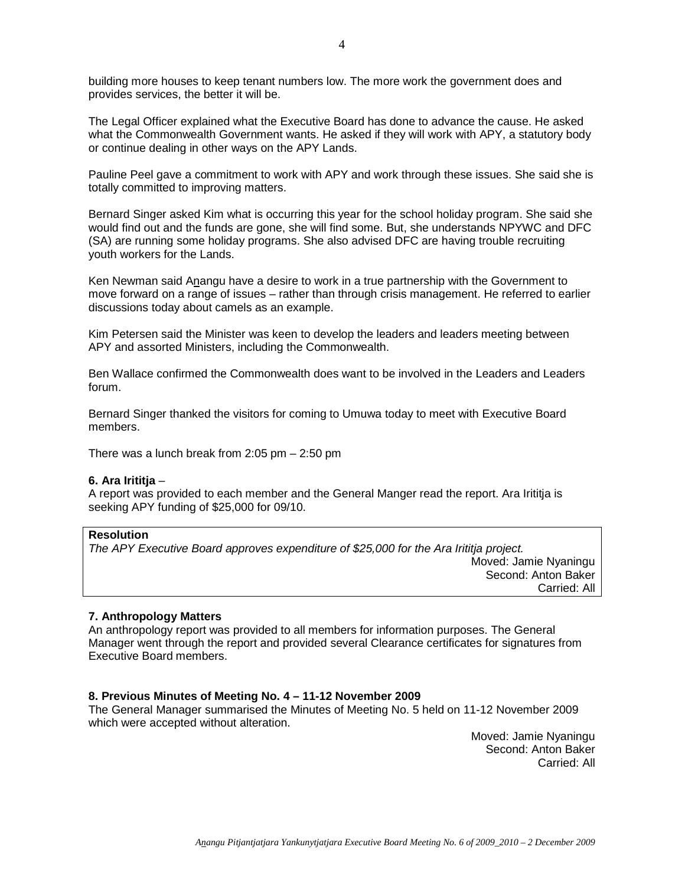building more houses to keep tenant numbers low. The more work the government does and provides services, the better it will be.

The Legal Officer explained what the Executive Board has done to advance the cause. He asked what the Commonwealth Government wants. He asked if they will work with APY, a statutory body or continue dealing in other ways on the APY Lands.

Pauline Peel gave a commitment to work with APY and work through these issues. She said she is totally committed to improving matters.

Bernard Singer asked Kim what is occurring this year for the school holiday program. She said she would find out and the funds are gone, she will find some. But, she understands NPYWC and DFC (SA) are running some holiday programs. She also advised DFC are having trouble recruiting youth workers for the Lands.

Ken Newman said Anangu have a desire to work in a true partnership with the Government to move forward on a range of issues – rather than through crisis management. He referred to earlier discussions today about camels as an example.

Kim Petersen said the Minister was keen to develop the leaders and leaders meeting between APY and assorted Ministers, including the Commonwealth.

Ben Wallace confirmed the Commonwealth does want to be involved in the Leaders and Leaders forum.

Bernard Singer thanked the visitors for coming to Umuwa today to meet with Executive Board members.

There was a lunch break from 2:05 pm – 2:50 pm

#### **6. Ara Irititja** –

A report was provided to each member and the General Manger read the report. Ara Irititja is seeking APY funding of \$25,000 for 09/10.

#### **Resolution**

The APY Executive Board approves expenditure of \$25,000 for the Ara Irititja project. Moved: Jamie Nyaningu Second: Anton Baker Carried: All

### **7. Anthropology Matters**

An anthropology report was provided to all members for information purposes. The General Manager went through the report and provided several Clearance certificates for signatures from Executive Board members.

### **8. Previous Minutes of Meeting No. 4 – 11-12 November 2009**

The General Manager summarised the Minutes of Meeting No. 5 held on 11-12 November 2009 which were accepted without alteration.

> Moved: Jamie Nyaningu Second: Anton Baker Carried: All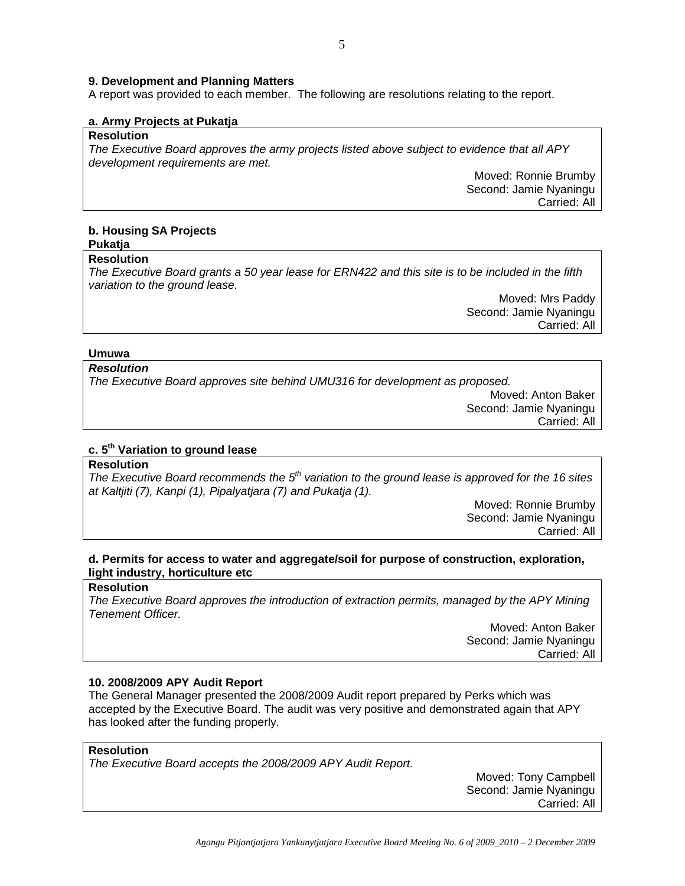#### **9. Development and Planning Matters**

A report was provided to each member. The following are resolutions relating to the report.

#### **a. Army Projects at Pukatja**

## **Resolution**

The Executive Board approves the army projects listed above subject to evidence that all APY development requirements are met.

> Moved: Ronnie Brumby Second: Jamie Nyaningu Carried: All

#### **b. Housing SA Projects Pukatja**

# **Resolution**

The Executive Board grants a 50 year lease for ERN422 and this site is to be included in the fifth variation to the ground lease.

> Moved: Mrs Paddy Second: Jamie Nyaningu Carried: All

#### **Umuwa**

## **Resolution**

The Executive Board approves site behind UMU316 for development as proposed.

Moved: Anton Baker Second: Jamie Nyaningu Carried: All

## **c. 5th Variation to ground lease**

### **Resolution**

The Executive Board recommends the  $5<sup>th</sup>$  variation to the ground lease is approved for the 16 sites at Kaltjiti (7), Kanpi (1), Pipalyatjara (7) and Pukatja (1).

> Moved: Ronnie Brumby Second: Jamie Nyaningu Carried: All

# **d. Permits for access to water and aggregate/soil for purpose of construction, exploration, light industry, horticulture etc**

## **Resolution**

The Executive Board approves the introduction of extraction permits, managed by the APY Mining Tenement Officer.

> Moved: Anton Baker Second: Jamie Nyaningu Carried: All

#### **10. 2008/2009 APY Audit Report**

The General Manager presented the 2008/2009 Audit report prepared by Perks which was accepted by the Executive Board. The audit was very positive and demonstrated again that APY has looked after the funding properly.

## **Resolution**

The Executive Board accepts the 2008/2009 APY Audit Report.

Moved: Tony Campbell Second: Jamie Nyaningu Carried: All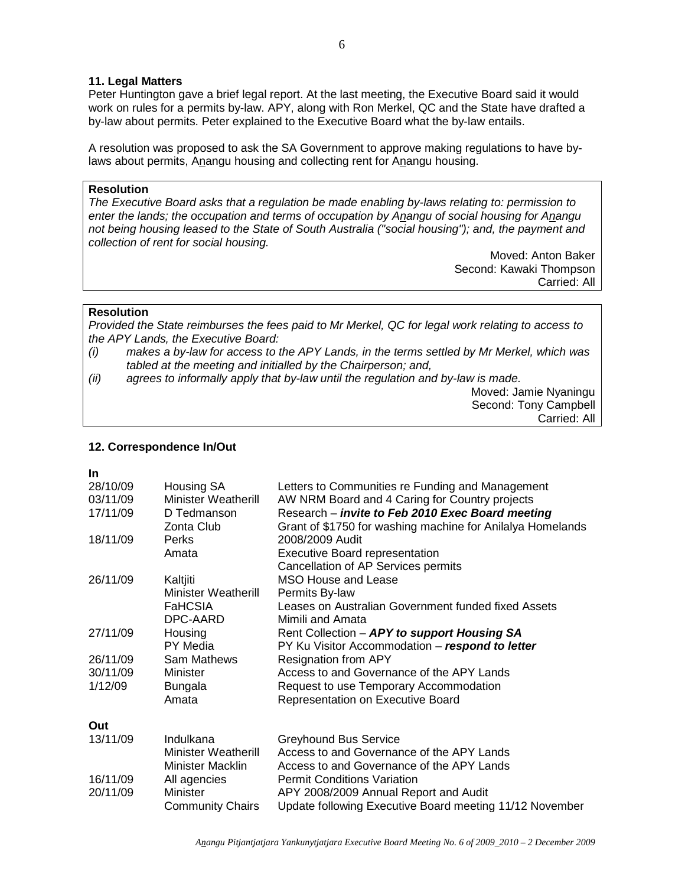### **11. Legal Matters**

Peter Huntington gave a brief legal report. At the last meeting, the Executive Board said it would work on rules for a permits by-law. APY, along with Ron Merkel, QC and the State have drafted a by-law about permits. Peter explained to the Executive Board what the by-law entails.

A resolution was proposed to ask the SA Government to approve making regulations to have bylaws about permits, Anangu housing and collecting rent for Anangu housing.

### **Resolution**

The Executive Board asks that a regulation be made enabling by-laws relating to: permission to enter the lands; the occupation and terms of occupation by Anangu of social housing for Anangu not being housing leased to the State of South Australia ("social housing"); and, the payment and collection of rent for social housing.

> Moved: Anton Baker Second: Kawaki Thompson Carried: All

#### **Resolution**

Provided the State reimburses the fees paid to Mr Merkel, QC for legal work relating to access to the APY Lands, the Executive Board:

- (i) makes a by-law for access to the APY Lands, in the terms settled by Mr Merkel, which was tabled at the meeting and initialled by the Chairperson; and,
- (ii) agrees to informally apply that by-law until the regulation and by-law is made.

Moved: Jamie Nyaningu Second: Tony Campbell Carried: All

#### **12. Correspondence In/Out**

| ۹ |  |
|---|--|
|   |  |

| 28/10/09 | Housing SA                 | Letters to Communities re Funding and Management           |
|----------|----------------------------|------------------------------------------------------------|
| 03/11/09 | <b>Minister Weatherill</b> | AW NRM Board and 4 Caring for Country projects             |
| 17/11/09 | D Tedmanson                | Research - invite to Feb 2010 Exec Board meeting           |
|          | Zonta Club                 | Grant of \$1750 for washing machine for Anilalya Homelands |
| 18/11/09 | <b>Perks</b>               | 2008/2009 Audit                                            |
|          | Amata                      | <b>Executive Board representation</b>                      |
|          |                            | Cancellation of AP Services permits                        |
| 26/11/09 | Kaltjiti                   | MSO House and Lease                                        |
|          | <b>Minister Weatherill</b> | Permits By-law                                             |
|          | <b>FaHCSIA</b>             | Leases on Australian Government funded fixed Assets        |
|          | DPC-AARD                   | Mimili and Amata                                           |
| 27/11/09 | Housing                    | Rent Collection - APY to support Housing SA                |
|          | PY Media                   | PY Ku Visitor Accommodation - respond to letter            |
| 26/11/09 | Sam Mathews                | <b>Resignation from APY</b>                                |
| 30/11/09 | Minister                   | Access to and Governance of the APY Lands                  |
| 1/12/09  | <b>Bungala</b>             | Request to use Temporary Accommodation                     |
|          | Amata                      | Representation on Executive Board                          |
| Out      |                            |                                                            |
| 13/11/09 | Indulkana                  | <b>Greyhound Bus Service</b>                               |
|          | <b>Minister Weatherill</b> | Access to and Governance of the APY Lands                  |
|          | Minister Macklin           | Access to and Governance of the APY Lands                  |
| 16/11/09 | All agencies               | <b>Permit Conditions Variation</b>                         |
| 20/11/09 | <b>Minister</b>            | APY 2008/2009 Annual Report and Audit                      |
|          | <b>Community Chairs</b>    | Update following Executive Board meeting 11/12 November    |